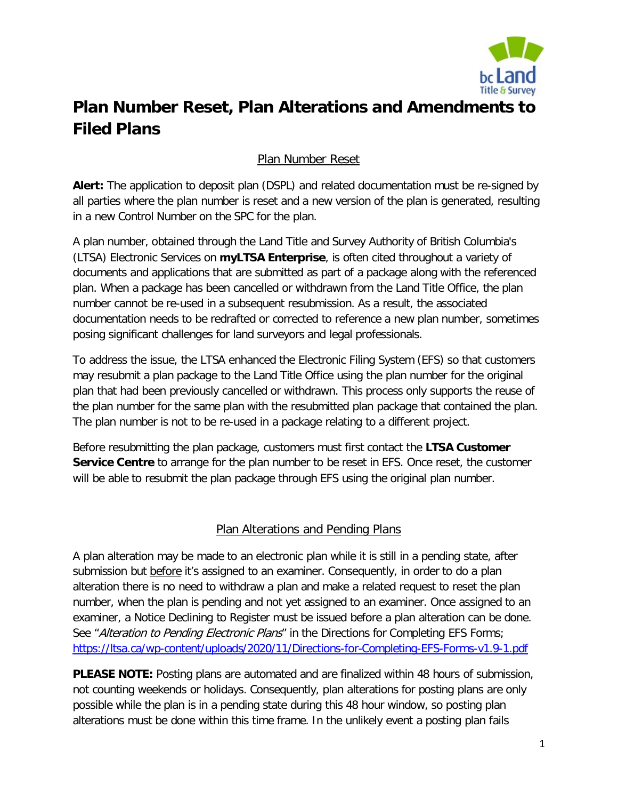

## **Plan Number Reset, Plan Alterations and Amendments to Filed Plans**

## Plan Number Reset

**Alert:** The application to deposit plan (DSPL) and related documentation must be re-signed by all parties where the plan number is reset and a new version of the plan is generated, resulting in a new Control Number on the SPC for the plan.

A plan number, obtained through the Land Title and Survey Authority of British Columbia's (LTSA) Electronic Services on **myLTSA Enterprise**, is often cited throughout a variety of documents and applications that are submitted as part of a package along with the referenced plan. When a package has been cancelled or withdrawn from the Land Title Office, the plan number cannot be re-used in a subsequent resubmission. As a result, the associated documentation needs to be redrafted or corrected to reference a new plan number, sometimes posing significant challenges for land surveyors and legal professionals.

To address the issue, the LTSA enhanced the Electronic Filing System (EFS) so that customers may resubmit a plan package to the Land Title Office using the plan number for the original plan that had been previously cancelled or withdrawn. This process only supports the reuse of the plan number for the same plan with the resubmitted plan package that contained the plan. The plan number is not to be re-used in a package relating to a different project.

Before resubmitting the plan package, customers must first contact the **LTSA Customer Service Centre** to arrange for the plan number to be reset in EFS. Once reset, the customer will be able to resubmit the plan package through EFS using the original plan number.

## Plan Alterations and Pending Plans

A plan alteration may be made to an electronic plan while it is still in a pending state, after submission but before it's assigned to an examiner. Consequently, in order to do a plan alteration there is no need to withdraw a plan and make a related request to reset the plan number, when the plan is pending and not yet assigned to an examiner. Once assigned to an examiner, a Notice Declining to Register must be issued before a plan alteration can be done. See "Alteration to Pending Electronic Plans" in the Directions for Completing EFS Forms; [https://ltsa.ca/wp-content/uploads/2020/11/Directions-for-Completing-EFS-Forms-v1.9-1.pdf](https://ltsa.ca/wp-content/uploads/2021/04/Directions-for-Completing-EFS-Forms.pdf)

**PLEASE NOTE:** Posting plans are automated and are finalized within 48 hours of submission, not counting weekends or holidays. Consequently, plan alterations for posting plans are only possible while the plan is in a pending state during this 48 hour window, so posting plan alterations must be done within this time frame. In the unlikely event a posting plan fails